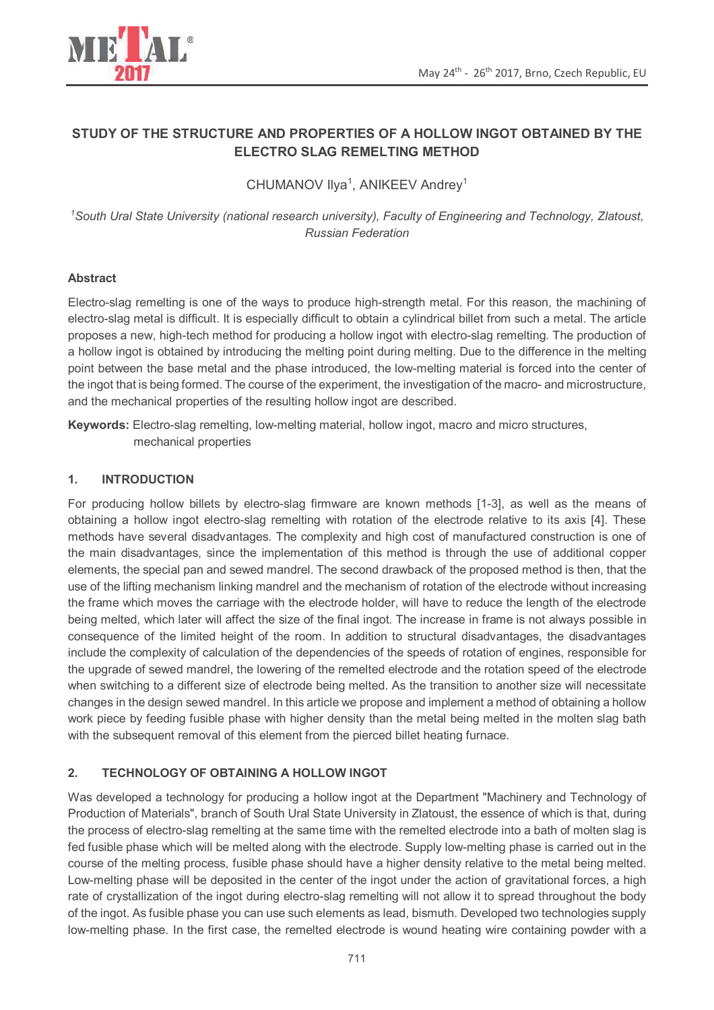



# **STUDY OF THE STRUCTURE AND PROPERTIES OF A HOLLOW INGOT OBTAINED BY THE ELECTRO SLAG REMELTING METHOD**

CHUMANOV Ilya<sup>1</sup>, ANIKEEV Andrey<sup>1</sup>

*<sup>1</sup>South Ural State University (national research university), Faculty of Engineering and Technology, Zlatoust, Russian Federation* 

# **Abstract**

Electro-slag remelting is one of the ways to produce high-strength metal. For this reason, the machining of electro-slag metal is difficult. It is especially difficult to obtain a cylindrical billet from such a metal. The article proposes a new, high-tech method for producing a hollow ingot with electro-slag remelting. The production of a hollow ingot is obtained by introducing the melting point during melting. Due to the difference in the melting point between the base metal and the phase introduced, the low-melting material is forced into the center of the ingot that is being formed. The course of the experiment, the investigation of the macro- and microstructure, and the mechanical properties of the resulting hollow ingot are described.

**Keywords:** Electro-slag remelting, low-melting material, hollow ingot, macro and micro structures, mechanical properties

## **1. INTRODUCTION**

For producing hollow billets by electro-slag firmware are known methods [1-3], as well as the means of obtaining a hollow ingot electro-slag remelting with rotation of the electrode relative to its axis [4]. These methods have several disadvantages. The complexity and high cost of manufactured construction is one of the main disadvantages, since the implementation of this method is through the use of additional copper elements, the special pan and sewed mandrel. The second drawback of the proposed method is then, that the use of the lifting mechanism linking mandrel and the mechanism of rotation of the electrode without increasing the frame which moves the carriage with the electrode holder, will have to reduce the length of the electrode being melted, which later will affect the size of the final ingot. The increase in frame is not always possible in consequence of the limited height of the room. In addition to structural disadvantages, the disadvantages include the complexity of calculation of the dependencies of the speeds of rotation of engines, responsible for the upgrade of sewed mandrel, the lowering of the remelted electrode and the rotation speed of the electrode when switching to a different size of electrode being melted. As the transition to another size will necessitate changes in the design sewed mandrel. In this article we propose and implement a method of obtaining a hollow work piece by feeding fusible phase with higher density than the metal being melted in the molten slag bath with the subsequent removal of this element from the pierced billet heating furnace.

# **2. TECHNOLOGY OF OBTAINING A HOLLOW INGOT**

Was developed a technology for producing a hollow ingot at the Department "Machinery and Technology of Production of Materials", branch of South Ural State University in Zlatoust, the essence of which is that, during the process of electro-slag remelting at the same time with the remelted electrode into a bath of molten slag is fed fusible phase which will be melted along with the electrode. Supply low-melting phase is carried out in the course of the melting process, fusible phase should have a higher density relative to the metal being melted. Low-melting phase will be deposited in the center of the ingot under the action of gravitational forces, a high rate of crystallization of the ingot during electro-slag remelting will not allow it to spread throughout the body of the ingot. As fusible phase you can use such elements as lead, bismuth. Developed two technologies supply low-melting phase. In the first case, the remelted electrode is wound heating wire containing powder with a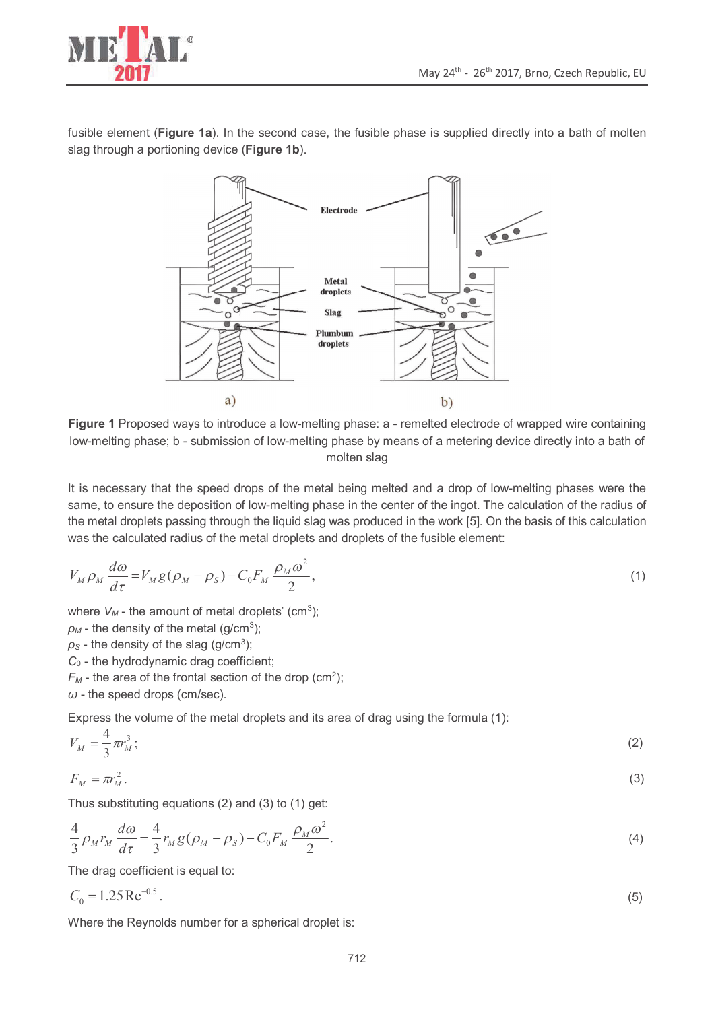

fusible element (**Figure 1a**). In the second case, the fusible phase is supplied directly into a bath of molten slag through a portioning device (**Figure 1b**).



**Figure 1** Proposed ways to introduce a low-melting phase: a - remelted electrode of wrapped wire containing low-melting phase; b - submission of low-melting phase by means of a metering device directly into a bath of molten slag

It is necessary that the speed drops of the metal being melted and a drop of low-melting phases were the same, to ensure the deposition of low-melting phase in the center of the ingot. The calculation of the radius of the metal droplets passing through the liquid slag was produced in the work [5]. On the basis of this calculation was the calculated radius of the metal droplets and droplets of the fusible element:

$$
V_M \rho_M \frac{d\omega}{d\tau} = V_M g (\rho_M - \rho_S) - C_0 F_M \frac{\rho_M \omega^2}{2},\tag{1}
$$

where  $V_M$  - the amount of metal droplets' (cm<sup>3</sup>);

 $\rho_M$  - the density of the metal (g/cm<sup>3</sup>);

 $\rho_S$  - the density of the slag (g/cm<sup>3</sup>);

- *С*0 the hydrodynamic drag coefficient;
- $F_M$  the area of the frontal section of the drop (cm<sup>2</sup>);

*ω* - the speed drops (cm/sec).

Express the volume of the metal droplets and its area of drag using the formula (1):

$$
V_M = \frac{4}{3} \pi r_M^3; \tag{2}
$$

$$
F_M = \pi r_M^2. \tag{3}
$$

Thus substituting equations (2) and (3) to (1) get:

$$
\frac{4}{3}\rho_M r_M \frac{d\omega}{d\tau} = \frac{4}{3}r_M g(\rho_M - \rho_S) - C_0 F_M \frac{\rho_M \omega^2}{2}.
$$
\n(4)

The drag coefficient is equal to:

$$
C_0 = 1.25 \,\text{Re}^{-0.5} \,. \tag{5}
$$

Where the Reynolds number for a spherical droplet is: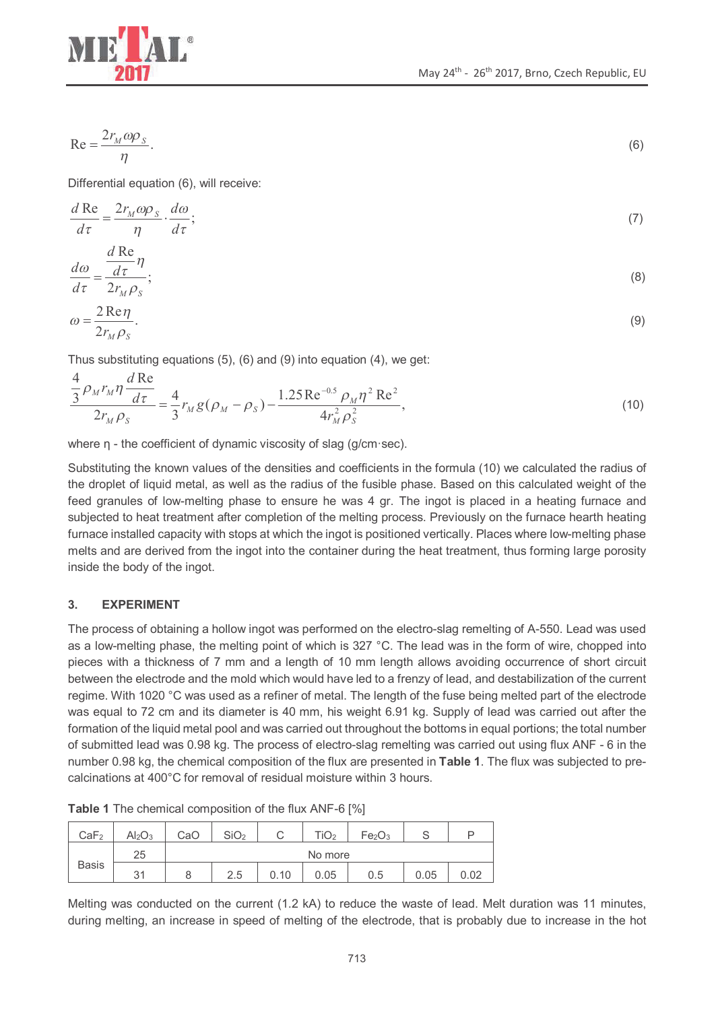

$$
\text{Re} = \frac{2r_M \omega \rho_s}{\eta}.
$$

Differential equation (6), will receive:

$$
\frac{d \operatorname{Re}}{d\tau} = \frac{2r_M \omega \rho_s}{\eta} \cdot \frac{d\omega}{d\tau};\tag{7}
$$

$$
\frac{d\omega}{d\tau} = \frac{\frac{d\text{Re}}{d\tau}\eta}{d\tau}.
$$
\n(8)

$$
\frac{d\omega}{d\tau} = \frac{d\tau}{2r_M \rho_S};\tag{8}
$$

$$
\omega = \frac{2 \operatorname{Re} \eta}{2r_M \rho_S}.
$$
\n(9)

Thus substituting equations (5), (6) and (9) into equation (4), we get:

$$
\frac{\frac{4}{3}\rho_M r_M \eta \frac{d\,\text{Re}}{d\tau}}{2r_M \rho_S} = \frac{4}{3}r_M g(\rho_M - \rho_S) - \frac{1.25\,\text{Re}^{-0.5}\rho_M \eta^2\,\text{Re}^2}{4r_M^2 \rho_S^2},\tag{10}
$$

where  $\eta$  - the coefficient of dynamic viscosity of slag (g/cm·sec).

Substituting the known values of the densities and coefficients in the formula (10) we calculated the radius of the droplet of liquid metal, as well as the radius of the fusible phase. Based on this calculated weight of the feed granules of low-melting phase to ensure he was 4 gr. The ingot is placed in a heating furnace and subjected to heat treatment after completion of the melting process. Previously on the furnace hearth heating furnace installed capacity with stops at which the ingot is positioned vertically. Places where low-melting phase melts and are derived from the ingot into the container during the heat treatment, thus forming large porosity inside the body of the ingot.

#### **3. EXPERIMENT**

The process of obtaining a hollow ingot was performed on the electro-slag remelting of A-550. Lead was used as a low-melting phase, the melting point of which is 327 °C. The lead was in the form of wire, chopped into pieces with a thickness of 7 mm and a length of 10 mm length allows avoiding occurrence of short circuit between the electrode and the mold which would have led to a frenzy of lead, and destabilization of the current regime. With 1020 °C was used as a refiner of metal. The length of the fuse being melted part of the electrode was equal to 72 cm and its diameter is 40 mm, his weight 6.91 kg. Supply of lead was carried out after the formation of the liquid metal pool and was carried out throughout the bottoms in equal portions; the total number of submitted lead was 0.98 kg. The process of electro-slag remelting was carried out using flux ANF - 6 in the number 0.98 kg, the chemical composition of the flux are presented in **Table 1**. The flux was subjected to precalcinations at 400°C for removal of residual moisture within 3 hours.

| CaF <sub>2</sub> | Al <sub>2</sub> O <sub>3</sub> | CaC     | SiO <sub>2</sub> |      | $\overline{1}O_2$ | Fe <sub>2</sub> O <sub>3</sub> |      |      |
|------------------|--------------------------------|---------|------------------|------|-------------------|--------------------------------|------|------|
| <b>Basis</b>     | 25                             | No more |                  |      |                   |                                |      |      |
|                  | 31                             | Ŏ       | 2.5              | 0.10 | 0.05              | 0.5                            | 0.05 | 0.02 |

**Table 1** The chemical composition of the flux ANF-6 [%]

Melting was conducted on the current (1.2 kA) to reduce the waste of lead. Melt duration was 11 minutes, during melting, an increase in speed of melting of the electrode, that is probably due to increase in the hot